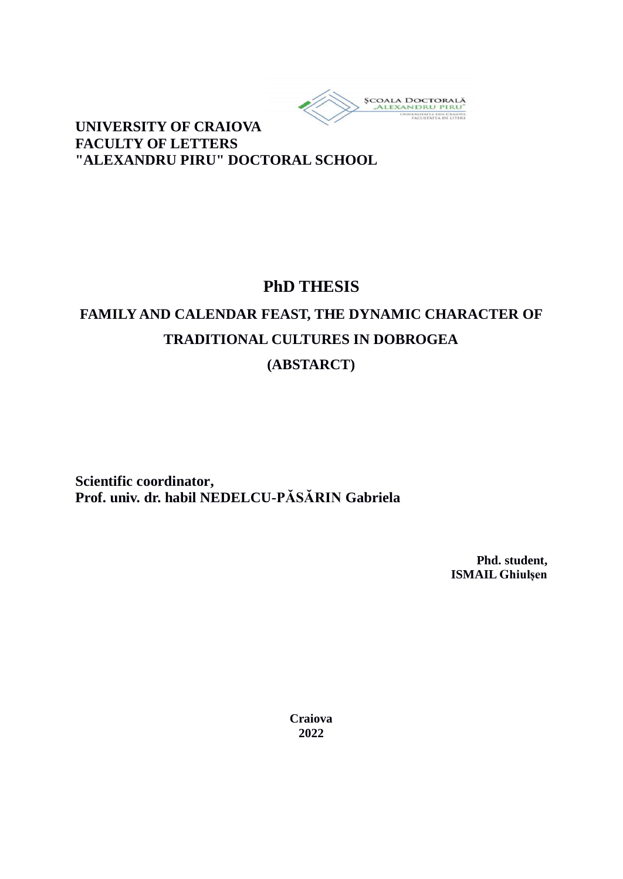

**UNIVERSITY OF CRAIOVA FACULTY OF LETTERS "ALEXANDRU PIRU" DOCTORAL SCHOOL**

# **PhD THESIS**

# **FAMILY AND CALENDAR FEAST, THE DYNAMIC CHARACTER OF TRADITIONAL CULTURES IN DOBROGEA (ABSTARCT)**

**Scientific coordinator, Prof. univ. dr. habil NEDELCU-PĂSĂRIN Gabriela**

> **Phd. student, ISMAIL Ghiulșen**

**Craiova 2022**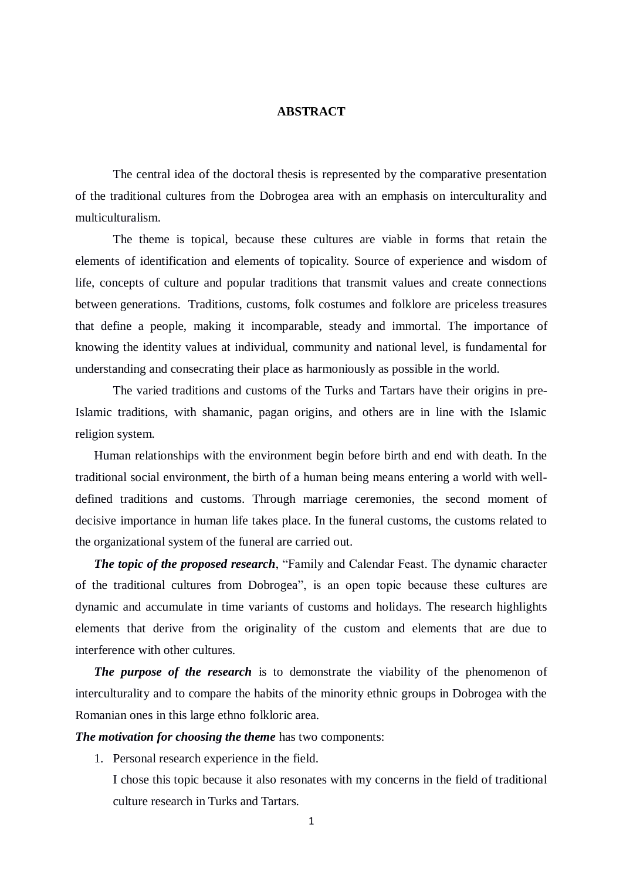#### **ABSTRACT**

The central idea of the doctoral thesis is represented by the comparative presentation of the traditional cultures from the Dobrogea area with an emphasis on interculturality and multiculturalism.

The theme is topical, because these cultures are viable in forms that retain the elements of identification and elements of topicality. Source of experience and wisdom of life, concepts of culture and popular traditions that transmit values and create connections between generations. Traditions, customs, folk costumes and folklore are priceless treasures that define a people, making it incomparable, steady and immortal. The importance of knowing the identity values at individual, community and national level, is fundamental for understanding and consecrating their place as harmoniously as possible in the world.

The varied traditions and customs of the Turks and Tartars have their origins in pre-Islamic traditions, with shamanic, pagan origins, and others are in line with the Islamic religion system.

Human relationships with the environment begin before birth and end with death. In the traditional social environment, the birth of a human being means entering a world with welldefined traditions and customs. Through marriage ceremonies, the second moment of decisive importance in human life takes place. In the funeral customs, the customs related to the organizational system of the funeral are carried out.

*The topic of the proposed research*, "Family and Calendar Feast. The dynamic character of the traditional cultures from Dobrogea", is an open topic because these cultures are dynamic and accumulate in time variants of customs and holidays. The research highlights elements that derive from the originality of the custom and elements that are due to interference with other cultures.

*The purpose of the research* is to demonstrate the viability of the phenomenon of interculturality and to compare the habits of the minority ethnic groups in Dobrogea with the Romanian ones in this large ethno folkloric area.

*The motivation for choosing the theme* has two components:

1. Personal research experience in the field.

I chose this topic because it also resonates with my concerns in the field of traditional culture research in Turks and Tartars.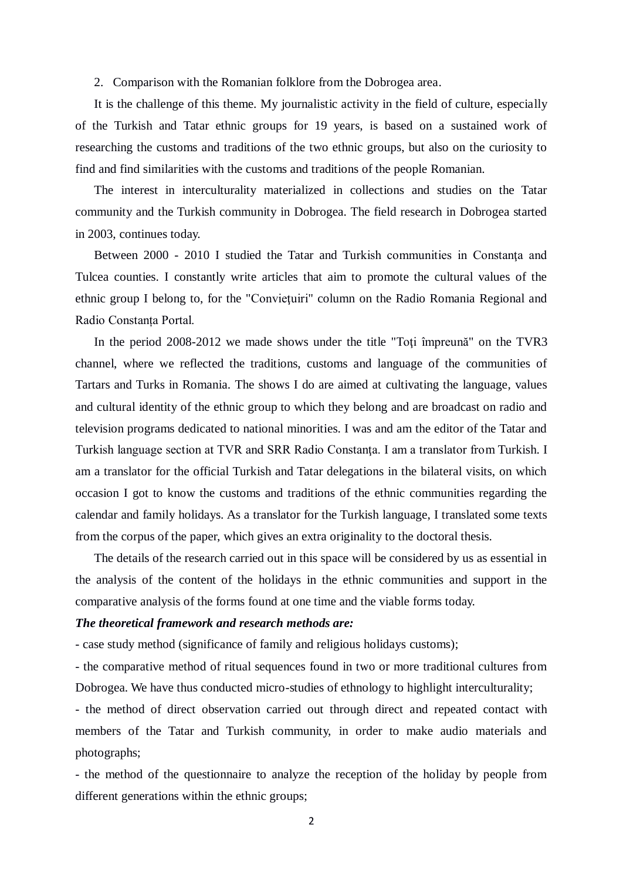2. Comparison with the Romanian folklore from the Dobrogea area.

It is the challenge of this theme. My journalistic activity in the field of culture, especially of the Turkish and Tatar ethnic groups for 19 years, is based on a sustained work of researching the customs and traditions of the two ethnic groups, but also on the curiosity to find and find similarities with the customs and traditions of the people Romanian.

The interest in interculturality materialized in collections and studies on the Tatar community and the Turkish community in Dobrogea. The field research in Dobrogea started in 2003, continues today.

Between 2000 - 2010 I studied the Tatar and Turkish communities in Constanta and Tulcea counties. I constantly write articles that aim to promote the cultural values of the ethnic group I belong to, for the "Convieţuiri" column on the Radio Romania Regional and Radio Constanța Portal.

In the period 2008-2012 we made shows under the title "Toti împreună" on the TVR3 channel, where we reflected the traditions, customs and language of the communities of Tartars and Turks in Romania. The shows I do are aimed at cultivating the language, values and cultural identity of the ethnic group to which they belong and are broadcast on radio and television programs dedicated to national minorities. I was and am the editor of the Tatar and Turkish language section at TVR and SRR Radio Constanţa. I am a translator from Turkish. I am a translator for the official Turkish and Tatar delegations in the bilateral visits, on which occasion I got to know the customs and traditions of the ethnic communities regarding the calendar and family holidays. As a translator for the Turkish language, I translated some texts from the corpus of the paper, which gives an extra originality to the doctoral thesis.

The details of the research carried out in this space will be considered by us as essential in the analysis of the content of the holidays in the ethnic communities and support in the comparative analysis of the forms found at one time and the viable forms today.

#### *The theoretical framework and research methods are:*

- case study method (significance of family and religious holidays customs);

- the comparative method of ritual sequences found in two or more traditional cultures from Dobrogea. We have thus conducted micro-studies of ethnology to highlight interculturality;

- the method of direct observation carried out through direct and repeated contact with members of the Tatar and Turkish community, in order to make audio materials and photographs;

- the method of the questionnaire to analyze the reception of the holiday by people from different generations within the ethnic groups;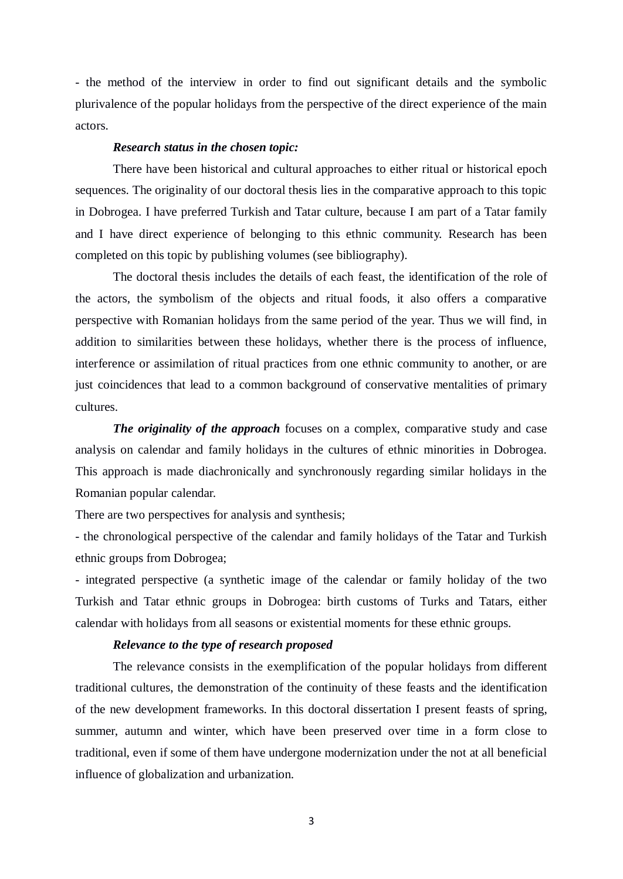- the method of the interview in order to find out significant details and the symbolic plurivalence of the popular holidays from the perspective of the direct experience of the main actors.

#### *Research status in the chosen topic:*

There have been historical and cultural approaches to either ritual or historical epoch sequences. The originality of our doctoral thesis lies in the comparative approach to this topic in Dobrogea. I have preferred Turkish and Tatar culture, because I am part of a Tatar family and I have direct experience of belonging to this ethnic community. Research has been completed on this topic by publishing volumes (see bibliography).

The doctoral thesis includes the details of each feast, the identification of the role of the actors, the symbolism of the objects and ritual foods, it also offers a comparative perspective with Romanian holidays from the same period of the year. Thus we will find, in addition to similarities between these holidays, whether there is the process of influence, interference or assimilation of ritual practices from one ethnic community to another, or are just coincidences that lead to a common background of conservative mentalities of primary cultures.

*The originality of the approach* focuses on a complex, comparative study and case analysis on calendar and family holidays in the cultures of ethnic minorities in Dobrogea. This approach is made diachronically and synchronously regarding similar holidays in the Romanian popular calendar.

There are two perspectives for analysis and synthesis;

- the chronological perspective of the calendar and family holidays of the Tatar and Turkish ethnic groups from Dobrogea;

- integrated perspective (a synthetic image of the calendar or family holiday of the two Turkish and Tatar ethnic groups in Dobrogea: birth customs of Turks and Tatars, either calendar with holidays from all seasons or existential moments for these ethnic groups.

# *Relevance to the type of research proposed*

The relevance consists in the exemplification of the popular holidays from different traditional cultures, the demonstration of the continuity of these feasts and the identification of the new development frameworks. In this doctoral dissertation I present feasts of spring, summer, autumn and winter, which have been preserved over time in a form close to traditional, even if some of them have undergone modernization under the not at all beneficial influence of globalization and urbanization.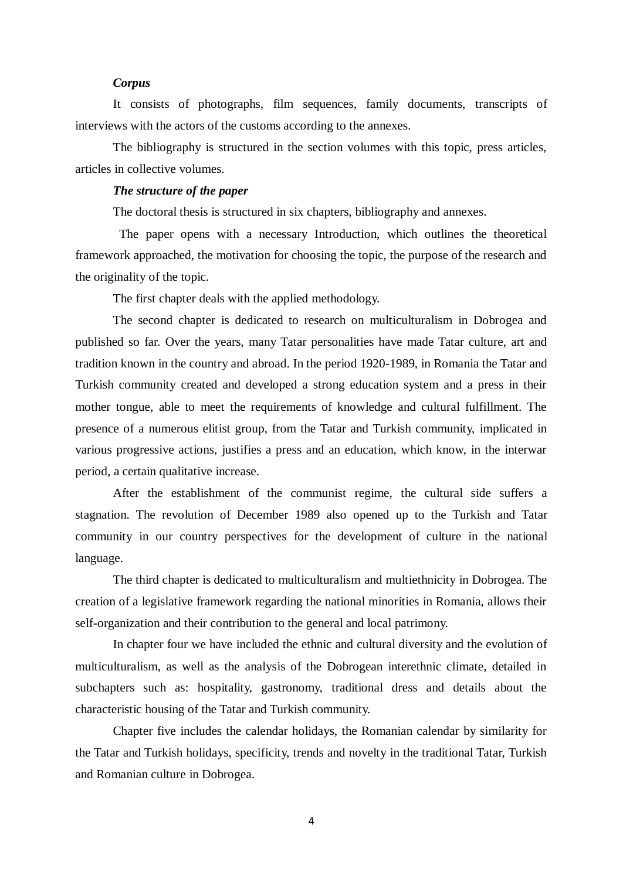### *Corpus*

It consists of photographs, film sequences, family documents, transcripts of interviews with the actors of the customs according to the annexes.

The bibliography is structured in the section volumes with this topic, press articles, articles in collective volumes.

# *The structure of the paper*

The doctoral thesis is structured in six chapters, bibliography and annexes.

 The paper opens with a necessary Introduction, which outlines the theoretical framework approached, the motivation for choosing the topic, the purpose of the research and the originality of the topic.

The first chapter deals with the applied methodology.

The second chapter is dedicated to research on multiculturalism in Dobrogea and published so far. Over the years, many Tatar personalities have made Tatar culture, art and tradition known in the country and abroad. In the period 1920-1989, in Romania the Tatar and Turkish community created and developed a strong education system and a press in their mother tongue, able to meet the requirements of knowledge and cultural fulfillment. The presence of a numerous elitist group, from the Tatar and Turkish community, implicated in various progressive actions, justifies a press and an education, which know, in the interwar period, a certain qualitative increase.

After the establishment of the communist regime, the cultural side suffers a stagnation. The revolution of December 1989 also opened up to the Turkish and Tatar community in our country perspectives for the development of culture in the national language.

The third chapter is dedicated to multiculturalism and multiethnicity in Dobrogea. The creation of a legislative framework regarding the national minorities in Romania, allows their self-organization and their contribution to the general and local patrimony.

In chapter four we have included the ethnic and cultural diversity and the evolution of multiculturalism, as well as the analysis of the Dobrogean interethnic climate, detailed in subchapters such as: hospitality, gastronomy, traditional dress and details about the characteristic housing of the Tatar and Turkish community.

Chapter five includes the calendar holidays, the Romanian calendar by similarity for the Tatar and Turkish holidays, specificity, trends and novelty in the traditional Tatar, Turkish and Romanian culture in Dobrogea.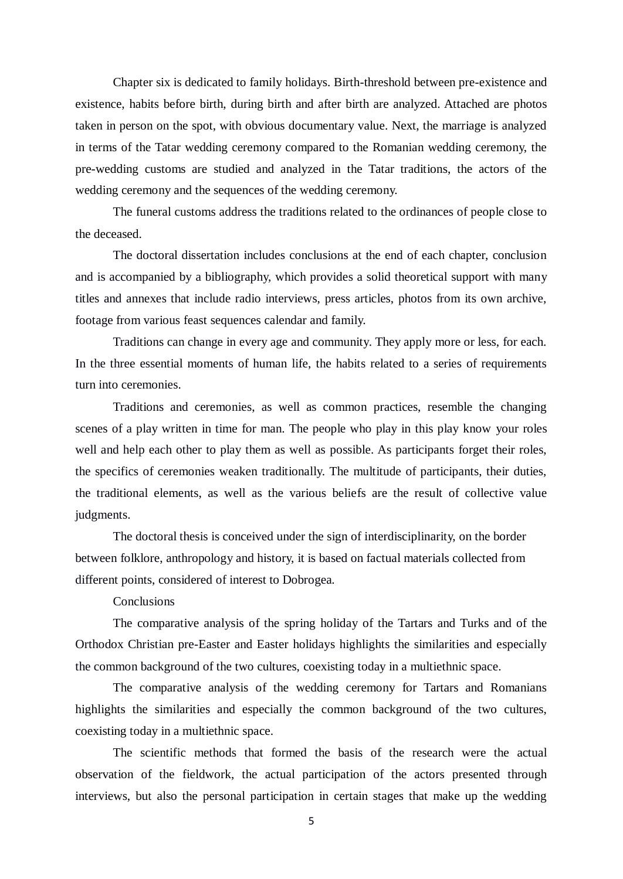Chapter six is dedicated to family holidays. Birth-threshold between pre-existence and existence, habits before birth, during birth and after birth are analyzed. Attached are photos taken in person on the spot, with obvious documentary value. Next, the marriage is analyzed in terms of the Tatar wedding ceremony compared to the Romanian wedding ceremony, the pre-wedding customs are studied and analyzed in the Tatar traditions, the actors of the wedding ceremony and the sequences of the wedding ceremony.

The funeral customs address the traditions related to the ordinances of people close to the deceased.

The doctoral dissertation includes conclusions at the end of each chapter, conclusion and is accompanied by a bibliography, which provides a solid theoretical support with many titles and annexes that include radio interviews, press articles, photos from its own archive, footage from various feast sequences calendar and family.

Traditions can change in every age and community. They apply more or less, for each. In the three essential moments of human life, the habits related to a series of requirements turn into ceremonies.

Traditions and ceremonies, as well as common practices, resemble the changing scenes of a play written in time for man. The people who play in this play know your roles well and help each other to play them as well as possible. As participants forget their roles, the specifics of ceremonies weaken traditionally. The multitude of participants, their duties, the traditional elements, as well as the various beliefs are the result of collective value judgments.

The doctoral thesis is conceived under the sign of interdisciplinarity, on the border between folklore, anthropology and history, it is based on factual materials collected from different points, considered of interest to Dobrogea.

**Conclusions** 

The comparative analysis of the spring holiday of the Tartars and Turks and of the Orthodox Christian pre-Easter and Easter holidays highlights the similarities and especially the common background of the two cultures, coexisting today in a multiethnic space.

The comparative analysis of the wedding ceremony for Tartars and Romanians highlights the similarities and especially the common background of the two cultures, coexisting today in a multiethnic space.

The scientific methods that formed the basis of the research were the actual observation of the fieldwork, the actual participation of the actors presented through interviews, but also the personal participation in certain stages that make up the wedding